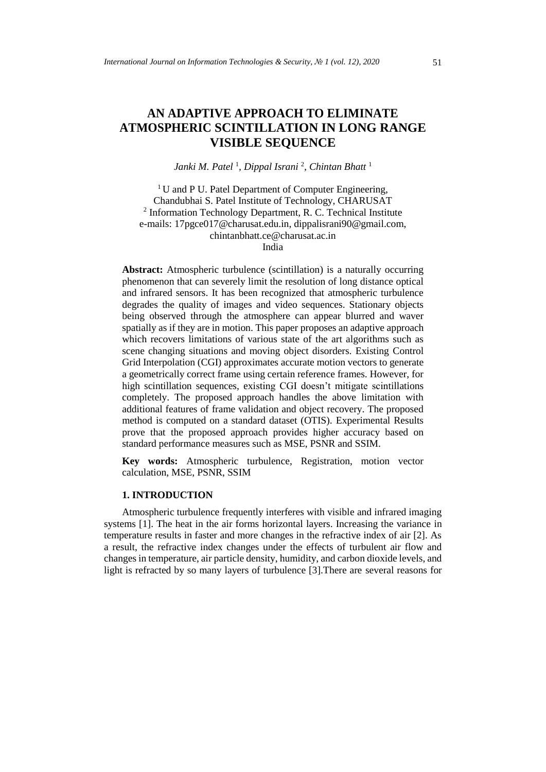# **AN ADAPTIVE APPROACH TO ELIMINATE ATMOSPHERIC SCINTILLATION IN LONG RANGE VISIBLE SEQUENCE**

# *Janki M. Patel* <sup>1</sup> *, Dippal Israni* <sup>2</sup> *, Chintan Bhatt* <sup>1</sup>

<sup>1</sup>U and P U. Patel Department of Computer Engineering, Chandubhai S. Patel Institute of Technology, CHARUSAT 2 Information Technology Department, R. C. Technical Institute e-mails: 17pgce017@charusat.edu.in, dippalisrani90@gmail.com, [chintanbhatt.ce@charusat.ac.in](mailto:chintanbhatt.ce@charusat.ac.in) India

**Abstract:** Atmospheric turbulence (scintillation) is a naturally occurring phenomenon that can severely limit the resolution of long distance optical and infrared sensors. It has been recognized that atmospheric turbulence degrades the quality of images and video sequences. Stationary objects being observed through the atmosphere can appear blurred and waver spatially as if they are in motion. This paper proposes an adaptive approach which recovers limitations of various state of the art algorithms such as scene changing situations and moving object disorders. Existing Control Grid Interpolation (CGI) approximates accurate motion vectors to generate a geometrically correct frame using certain reference frames. However, for high scintillation sequences, existing CGI doesn't mitigate scintillations completely. The proposed approach handles the above limitation with additional features of frame validation and object recovery. The proposed method is computed on a standard dataset (OTIS). Experimental Results prove that the proposed approach provides higher accuracy based on standard performance measures such as MSE, PSNR and SSIM.

**Key words:** Atmospheric turbulence, Registration, motion vector calculation, MSE, PSNR, SSIM

# **1. INTRODUCTION**

Atmospheric turbulence frequently interferes with visible and infrared imaging systems [1]. The heat in the air forms horizontal layers. Increasing the variance in temperature results in faster and more changes in the refractive index of air [2]. As a result, the refractive index changes under the effects of turbulent air flow and changes in temperature, air particle density, humidity, and carbon dioxide levels, and light is refracted by so many layers of turbulence [3].There are several reasons for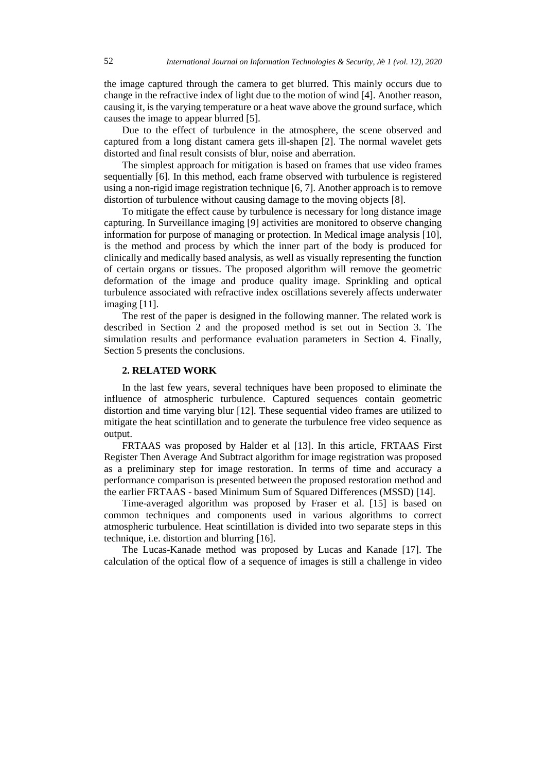the image captured through the camera to get blurred. This mainly occurs due to change in the refractive index of light due to the motion of wind [4]. Another reason, causing it, is the varying temperature or a heat wave above the ground surface, which causes the image to appear blurred [5].

Due to the effect of turbulence in the atmosphere, the scene observed and captured from a long distant camera gets ill-shapen [2]. The normal wavelet gets distorted and final result consists of blur, noise and aberration.

The simplest approach for mitigation is based on frames that use video frames sequentially [6]. In this method, each frame observed with turbulence is registered using a non-rigid image registration technique [6, 7]. Another approach is to remove distortion of turbulence without causing damage to the moving objects [8].

To mitigate the effect cause by turbulence is necessary for long distance image capturing. In Surveillance imaging [9] activities are monitored to observe changing information for purpose of managing or protection. In Medical image analysis [10], is the method and process by which the inner part of the body is produced for clinically and medically based analysis, as well as visually representing the function of certain organs or tissues. The proposed algorithm will remove the geometric deformation of the image and produce quality image. Sprinkling and optical turbulence associated with refractive index oscillations severely affects underwater imaging [11].

The rest of the paper is designed in the following manner. The related work is described in Section 2 and the proposed method is set out in Section 3. The simulation results and performance evaluation parameters in Section 4. Finally, Section 5 presents the conclusions.

### **2. RELATED WORK**

In the last few years, several techniques have been proposed to eliminate the influence of atmospheric turbulence. Captured sequences contain geometric distortion and time varying blur [12]. These sequential video frames are utilized to mitigate the heat scintillation and to generate the turbulence free video sequence as output.

FRTAAS was proposed by Halder et al [13]. In this article, FRTAAS First Register Then Average And Subtract algorithm for image registration was proposed as a preliminary step for image restoration. In terms of time and accuracy a performance comparison is presented between the proposed restoration method and the earlier FRTAAS - based Minimum Sum of Squared Differences (MSSD) [14].

Time-averaged algorithm was proposed by Fraser et al. [15] is based on common techniques and components used in various algorithms to correct atmospheric turbulence. Heat scintillation is divided into two separate steps in this technique, i.e. distortion and blurring [16].

The Lucas-Kanade method was proposed by Lucas and Kanade [17]. The calculation of the optical flow of a sequence of images is still a challenge in video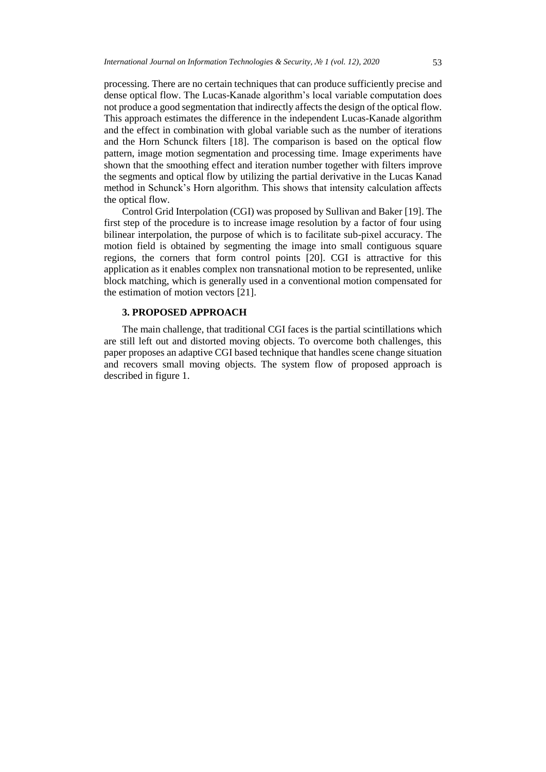processing. There are no certain techniques that can produce sufficiently precise and dense optical flow. The Lucas-Kanade algorithm's local variable computation does not produce a good segmentation that indirectly affects the design of the optical flow. This approach estimates the difference in the independent Lucas-Kanade algorithm and the effect in combination with global variable such as the number of iterations and the Horn Schunck filters [18]. The comparison is based on the optical flow pattern, image motion segmentation and processing time. Image experiments have shown that the smoothing effect and iteration number together with filters improve the segments and optical flow by utilizing the partial derivative in the Lucas Kanad method in Schunck's Horn algorithm. This shows that intensity calculation affects the optical flow.

Control Grid Interpolation (CGI) was proposed by Sullivan and Baker [19]. The first step of the procedure is to increase image resolution by a factor of four using bilinear interpolation, the purpose of which is to facilitate sub-pixel accuracy. The motion field is obtained by segmenting the image into small contiguous square regions, the corners that form control points [20]. CGI is attractive for this application as it enables complex non transnational motion to be represented, unlike block matching, which is generally used in a conventional motion compensated for the estimation of motion vectors [21].

# **3. PROPOSED APPROACH**

The main challenge, that traditional CGI faces is the partial scintillations which are still left out and distorted moving objects. To overcome both challenges, this paper proposes an adaptive CGI based technique that handles scene change situation and recovers small moving objects. The system flow of proposed approach is described in figure 1.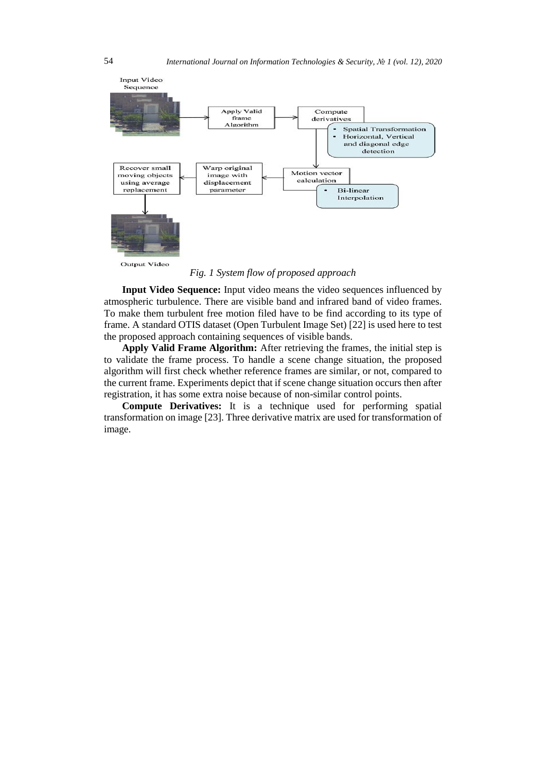

*Fig. 1 System flow of proposed approach*

**Input Video Sequence:** Input video means the video sequences influenced by atmospheric turbulence. There are visible band and infrared band of video frames. To make them turbulent free motion filed have to be find according to its type of frame. A standard OTIS dataset (Open Turbulent Image Set) [22] is used here to test the proposed approach containing sequences of visible bands.

**Apply Valid Frame Algorithm:** After retrieving the frames, the initial step is to validate the frame process. To handle a scene change situation, the proposed algorithm will first check whether reference frames are similar, or not, compared to the current frame. Experiments depict that if scene change situation occurs then after registration, it has some extra noise because of non-similar control points.

**Compute Derivatives:** It is a technique used for performing spatial transformation on image [23]. Three derivative matrix are used for transformation of image.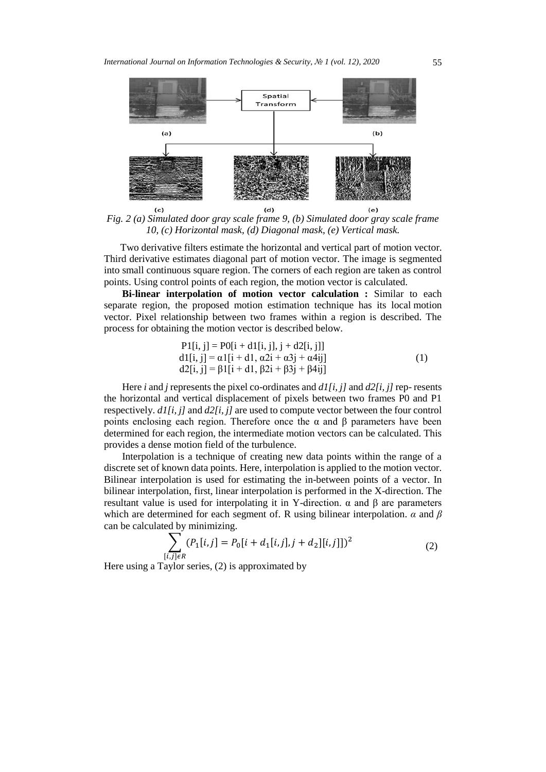

*Fig. 2 (a) Simulated door gray scale frame 9, (b) Simulated door gray scale frame 10, (c) Horizontal mask, (d) Diagonal mask, (e) Vertical mask.*

Two derivative filters estimate the horizontal and vertical part of motion vector. Third derivative estimates diagonal part of motion vector. The image is segmented into small continuous square region. The corners of each region are taken as control points. Using control points of each region, the motion vector is calculated.

**Bi-linear interpolation of motion vector calculation :** Similar to each separate region, the proposed motion estimation technique has its local motion vector. Pixel relationship between two frames within a region is described. The process for obtaining the motion vector is described below.

P1[i, j] = P0[i + d1[i, j], j + d2[i, j]] d1[i, j] = α1[i + d1, α2i + α3j + α4ij] d2[i, j] = β1[i + d1, β2i + β3j + β4ij] (1)

Here *i* and *j* represents the pixel co-ordinates and *d1[i, j]* and *d2[i, j]* rep- resents the horizontal and vertical displacement of pixels between two frames P0 and P1 respectively. *d1[i, j]* and *d2[i, j]* are used to compute vector between the four control points enclosing each region. Therefore once the  $\alpha$  and  $\beta$  parameters have been determined for each region, the intermediate motion vectors can be calculated. This provides a dense motion field of the turbulence.

Interpolation is a technique of creating new data points within the range of a discrete set of known data points. Here, interpolation is applied to the motion vector. Bilinear interpolation is used for estimating the in-between points of a vector. In bilinear interpolation, first, linear interpolation is performed in the X-direction. The resultant value is used for interpolating it in Y-direction. α and β are parameters which are determined for each segment of. R using bilinear interpolation. *α* and *β* can be calculated by minimizing.

$$
\sum_{[i,j]\in R} (P_1[i,j] = P_0[i+d_1[i,j], j+d_2][i,j]])^2
$$
\n(2)

Here using a Taylor series, (2) is approximated by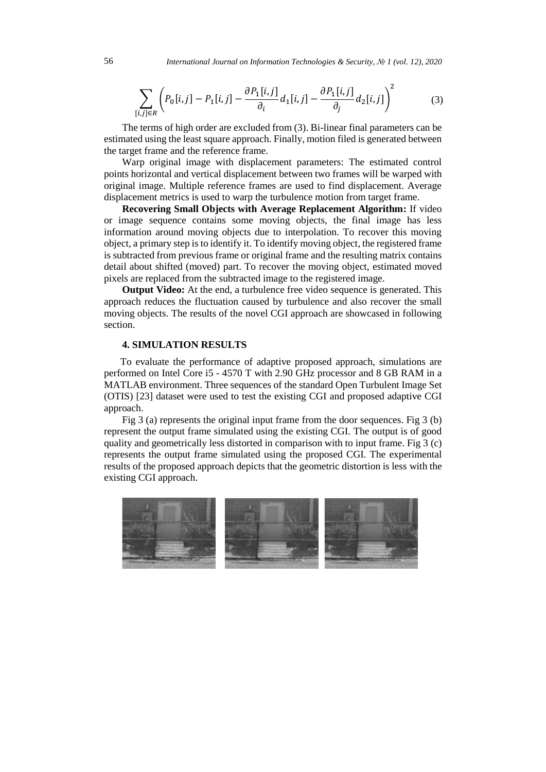$$
\sum_{[i,j]\in R} \left( P_0[i,j] - P_1[i,j] - \frac{\partial P_1[i,j]}{\partial_i} d_1[i,j] - \frac{\partial P_1[i,j]}{\partial_j} d_2[i,j] \right)^2 \tag{3}
$$

The terms of high order are excluded from (3). Bi-linear final parameters can be estimated using the least square approach. Finally, motion filed is generated between the target frame and the reference frame.

Warp original image with displacement parameters: The estimated control points horizontal and vertical displacement between two frames will be warped with original image. Multiple reference frames are used to find displacement. Average displacement metrics is used to warp the turbulence motion from target frame.

**Recovering Small Objects with Average Replacement Algorithm:** If video or image sequence contains some moving objects, the final image has less information around moving objects due to interpolation. To recover this moving object, a primary step is to identify it. To identify moving object, the registered frame is subtracted from previous frame or original frame and the resulting matrix contains detail about shifted (moved) part. To recover the moving object, estimated moved pixels are replaced from the subtracted image to the registered image.

**Output Video:** At the end, a turbulence free video sequence is generated. This approach reduces the fluctuation caused by turbulence and also recover the small moving objects. The results of the novel CGI approach are showcased in following section.

#### **4. SIMULATION RESULTS**

To evaluate the performance of adaptive proposed approach, simulations are performed on Intel Core i5 - 4570 T with 2.90 GHz processor and 8 GB RAM in a MATLAB environment. Three sequences of the standard Open Turbulent Image Set (OTIS) [23] dataset were used to test the existing CGI and proposed adaptive CGI approach.

Fig 3 (a) represents the original input frame from the door sequences. Fig 3 (b) represent the output frame simulated using the existing CGI. The output is of good quality and geometrically less distorted in comparison with to input frame. Fig 3 (c) represents the output frame simulated using the proposed CGI. The experimental results of the proposed approach depicts that the geometric distortion is less with the existing CGI approach.

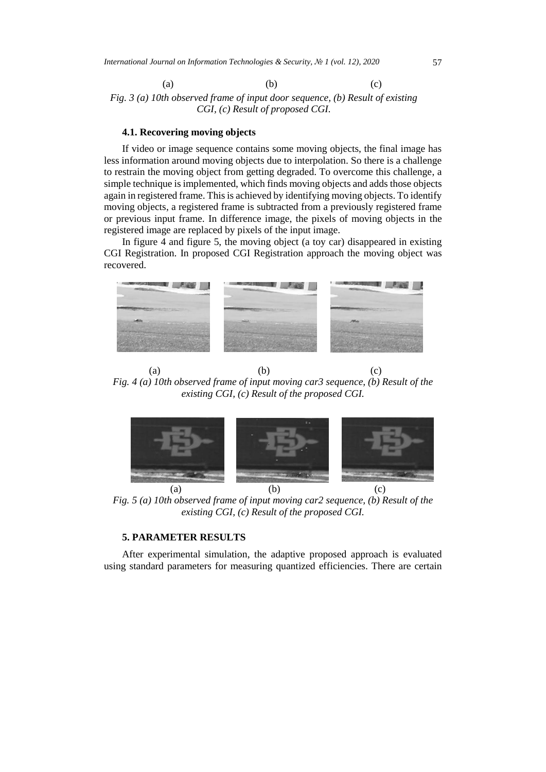(a)  $(b)$  (c) *Fig. 3 (a) 10th observed frame of input door sequence, (b) Result of existing CGI, (c) Result of proposed CGI.*

#### **4.1. Recovering moving objects**

If video or image sequence contains some moving objects, the final image has less information around moving objects due to interpolation. So there is a challenge to restrain the moving object from getting degraded. To overcome this challenge, a simple technique is implemented, which finds moving objects and adds those objects again in registered frame. This is achieved by identifying moving objects. To identify moving objects, a registered frame is subtracted from a previously registered frame or previous input frame. In difference image, the pixels of moving objects in the registered image are replaced by pixels of the input image.

In figure 4 and figure 5, the moving object (a toy car) disappeared in existing CGI Registration. In proposed CGI Registration approach the moving object was recovered.



(a)  $(b)$  (c) *Fig. 4 (a) 10th observed frame of input moving car3 sequence, (b) Result of the existing CGI, (c) Result of the proposed CGI.*



*Fig. 5 (a) 10th observed frame of input moving car2 sequence, (b) Result of the existing CGI, (c) Result of the proposed CGI.*

### **5. PARAMETER RESULTS**

After experimental simulation, the adaptive proposed approach is evaluated using standard parameters for measuring quantized efficiencies. There are certain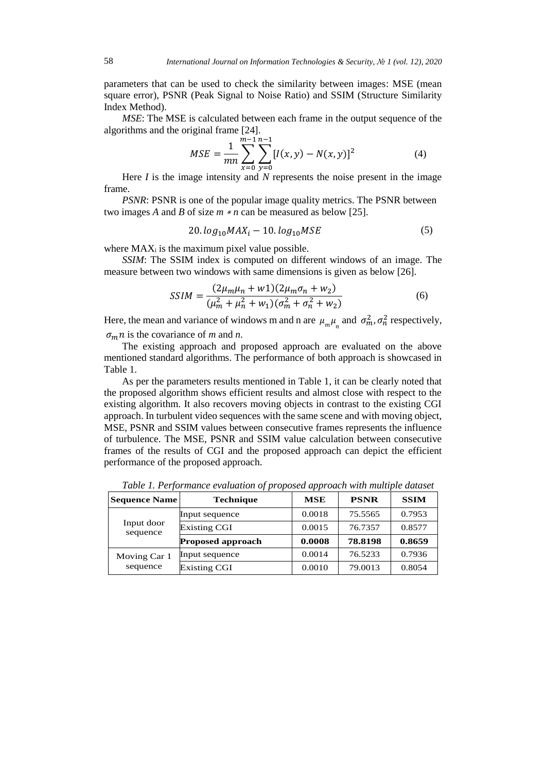parameters that can be used to check the similarity between images: MSE (mean square error), PSNR (Peak Signal to Noise Ratio) and SSIM (Structure Similarity Index Method).

*MSE*: The MSE is calculated between each frame in the output sequence of the algorithms and the original frame [24].

$$
MSE = \frac{1}{mn} \sum_{x=0}^{m-1} \sum_{y=0}^{n-1} [I(x, y) - N(x, y)]^2
$$
 (4)

Here *I* is the image intensity and *N* represents the noise present in the image frame.

*PSNR*: PSNR is one of the popular image quality metrics. The PSNR between two images *A* and *B* of size *m* <sup>∗</sup> *n* can be measured as below [25].

$$
20. \log_{10} MAX_i - 10. \log_{10} MSE \tag{5}
$$

where  $MAX_i$  is the maximum pixel value possible.

*SSIM*: The SSIM index is computed on different windows of an image. The measure between two windows with same dimensions is given as below [26].

$$
SSIM = \frac{(2\mu_m\mu_n + w1)(2\mu_m\sigma_n + w_2)}{(\mu_m^2 + \mu_n^2 + w_1)(\sigma_m^2 + \sigma_n^2 + w_2)}
$$
(6)

Here, the mean and variance of windows m and n are  $\mu_m \mu_n$  and  $\sigma_m^2$ ,  $\sigma_n^2$  respectively,  $\sigma_m n$  is the covariance of *m* and *n*.

The existing approach and proposed approach are evaluated on the above mentioned standard algorithms. The performance of both approach is showcased in Table 1.

As per the parameters results mentioned in Table 1, it can be clearly noted that the proposed algorithm shows efficient results and almost close with respect to the existing algorithm. It also recovers moving objects in contrast to the existing CGI approach. In turbulent video sequences with the same scene and with moving object, MSE, PSNR and SSIM values between consecutive frames represents the influence of turbulence. The MSE, PSNR and SSIM value calculation between consecutive frames of the results of CGI and the proposed approach can depict the efficient performance of the proposed approach.

| <b>Sequence Name</b>     | <b>Technique</b>         | <b>MSE</b> | <b>PSNR</b> | <b>SSIM</b> |
|--------------------------|--------------------------|------------|-------------|-------------|
| Input door<br>sequence   | Input sequence           | 0.0018     | 75.5565     | 0.7953      |
|                          | <b>Existing CGI</b>      | 0.0015     | 76.7357     | 0.8577      |
|                          | <b>Proposed approach</b> | 0.0008     | 78.8198     | 0.8659      |
| Moving Car 1<br>sequence | Input sequence           | 0.0014     | 76.5233     | 0.7936      |
|                          | <b>Existing CGI</b>      | 0.0010     | 79.0013     | 0.8054      |

*Table 1. Performance evaluation of proposed approach with multiple dataset*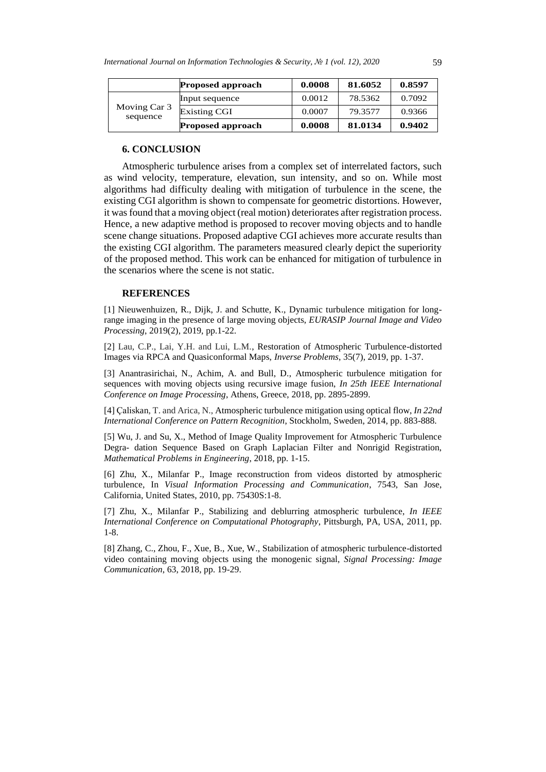|                          | <b>Proposed approach</b> | 0.0008 | 81.6052 | 0.8597 |
|--------------------------|--------------------------|--------|---------|--------|
| Moving Car 3<br>sequence | Input sequence           | 0.0012 | 78.5362 | 0.7092 |
|                          | <b>Existing CGI</b>      | 0.0007 | 79.3577 | 0.9366 |
|                          | <b>Proposed approach</b> | 0.0008 | 81.0134 | 0.9402 |

# **6. CONCLUSION**

Atmospheric turbulence arises from a complex set of interrelated factors, such as wind velocity, temperature, elevation, sun intensity, and so on. While most algorithms had difficulty dealing with mitigation of turbulence in the scene, the existing CGI algorithm is shown to compensate for geometric distortions. However, it was found that a moving object (real motion) deteriorates after registration process. Hence, a new adaptive method is proposed to recover moving objects and to handle scene change situations. Proposed adaptive CGI achieves more accurate results than the existing CGI algorithm. The parameters measured clearly depict the superiority of the proposed method. This work can be enhanced for mitigation of turbulence in the scenarios where the scene is not static.

### **REFERENCES**

[1] Nieuwenhuizen, R., Dijk, J. and Schutte, K., Dynamic turbulence mitigation for longrange imaging in the presence of large moving objects, *EURASIP Journal Image and Video Processing*, 2019(2), 2019, pp.1-22.

[2] Lau, C.P., Lai, Y.H. and Lui, L.M., Restoration of Atmospheric Turbulence-distorted Images via RPCA and Quasiconformal Maps, *Inverse Problems*, 35(7), 2019, pp. 1-37.

[3] Anantrasirichai, N., Achim, A. and Bull, D., Atmospheric turbulence mitigation for sequences with moving objects using recursive image fusion, *In 25th IEEE International Conference on Image Processing*, Athens, Greece, 2018, pp. 2895-2899.

[4] Çaliskan, T. and Arica, N., Atmospheric turbulence mitigation using optical flow, *In 22nd International Conference on Pattern Recognition*, Stockholm, Sweden, 2014, pp. 883-888.

[5] Wu, J. and Su, X., Method of Image Quality Improvement for Atmospheric Turbulence Degra- dation Sequence Based on Graph Laplacian Filter and Nonrigid Registration, *Mathematical Problems in Engineering*, 2018, pp. 1-15.

[6] Zhu, X., Milanfar P., Image reconstruction from videos distorted by atmospheric turbulence, In *Visual Information Processing and Communication*, 7543, San Jose, California, United States, 2010, pp. 75430S:1-8.

[7] Zhu, X., Milanfar P., Stabilizing and deblurring atmospheric turbulence, *In IEEE International Conference on Computational Photography*, Pittsburgh, PA, USA, 2011, pp. 1-8.

[8] Zhang, C., Zhou, F., Xue, B., Xue, W., Stabilization of atmospheric turbulence-distorted video containing moving objects using the monogenic signal, *Signal Processing: Image Communication*, 63, 2018, pp. 19-29.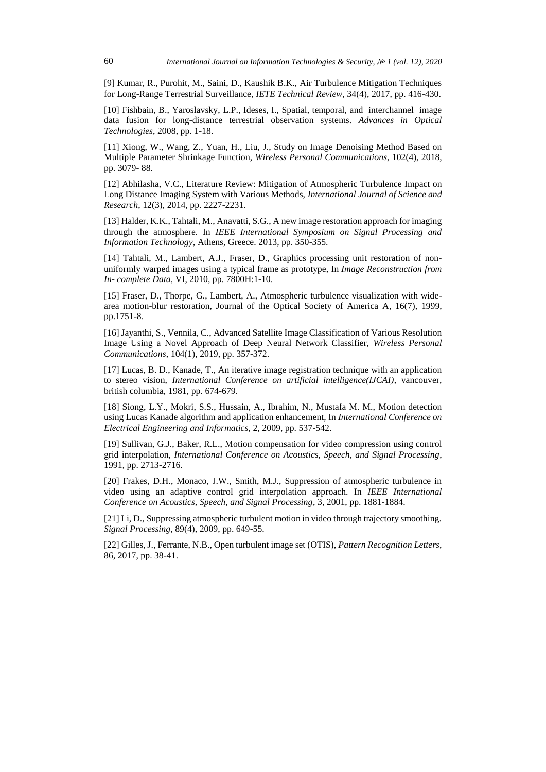[9] Kumar, R., Purohit, M., Saini, D., Kaushik B.K., Air Turbulence Mitigation Techniques for Long-Range Terrestrial Surveillance, *IETE Technical Review*, 34(4), 2017, pp. 416-430.

[10] Fishbain, B., Yaroslavsky, L.P., Ideses, I., Spatial, temporal, and interchannel image data fusion for long-distance terrestrial observation systems. *Advances in Optical Technologies*, 2008, pp. 1-18.

[11] Xiong, W., Wang, Z., Yuan, H., Liu, J., Study on Image Denoising Method Based on Multiple Parameter Shrinkage Function, *Wireless Personal Communications*, 102(4), 2018, pp. 3079- 88.

[12] Abhilasha, V.C., Literature Review: Mitigation of Atmospheric Turbulence Impact on Long Distance Imaging System with Various Methods, *International Journal of Science and Research*, 12(3), 2014, pp. 2227-2231.

[13] Halder, K.K., Tahtali, M., Anavatti, S.G., A new image restoration approach for imaging through the atmosphere. In *IEEE International Symposium on Signal Processing and Information Technology*, Athens, Greece. 2013, pp. 350-355.

[14] Tahtali, M., Lambert, A.J., Fraser, D., Graphics processing unit restoration of nonuniformly warped images using a typical frame as prototype, In *Image Reconstruction from In- complete Data*, VI, 2010, pp. 7800H:1-10.

[15] Fraser, D., Thorpe, G., Lambert, A., Atmospheric turbulence visualization with widearea motion-blur restoration, Journal of the Optical Society of America A, 16(7), 1999, pp.1751-8.

[16] Jayanthi, S., Vennila, C., Advanced Satellite Image Classification of Various Resolution Image Using a Novel Approach of Deep Neural Network Classifier, *Wireless Personal Communications*, 104(1), 2019, pp. 357-372.

[17] Lucas, B. D., Kanade, T., An iterative image registration technique with an application to stereo vision, *International Conference on artificial intelligence(IJCAI)*, vancouver, british columbia, 1981, pp. 674-679.

[18] Siong, L.Y., Mokri, S.S., Hussain, A., Ibrahim, N., Mustafa M. M., Motion detection using Lucas Kanade algorithm and application enhancement, In *International Conference on Electrical Engineering and Informatics*, 2, 2009, pp. 537-542.

[19] Sullivan, G.J., Baker, R.L., Motion compensation for video compression using control grid interpolation, *International Conference on Acoustics, Speech, and Signal Processing*, 1991, pp. 2713-2716.

[20] Frakes, D.H., Monaco, J.W., Smith, M.J., Suppression of atmospheric turbulence in video using an adaptive control grid interpolation approach. In *IEEE International Conference on Acoustics, Speech, and Signal Processing*, 3, 2001, pp. 1881-1884.

[21] Li, D., Suppressing atmospheric turbulent motion in video through trajectory smoothing. *Signal Processing*, 89(4), 2009, pp. 649-55.

[22] Gilles, J., Ferrante, N.B., Open turbulent image set (OTIS), *Pattern Recognition Letters*, 86, 2017, pp. 38-41.